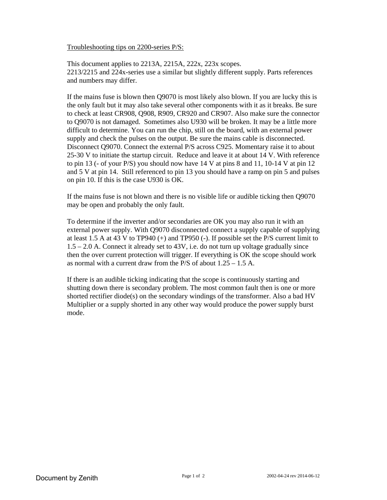## Troubleshooting tips on 2200-series P/S:

This document applies to 2213A, 2215A, 222x, 223x scopes. 2213/2215 and 224x-series use a similar but slightly different supply. Parts references and numbers may differ.

If the mains fuse is blown then Q9070 is most likely also blown. If you are lucky this is the only fault but it may also take several other components with it as it breaks. Be sure to check at least CR908, Q908, R909, CR920 and CR907. Also make sure the connector to Q9070 is not damaged. Sometimes also U930 will be broken. It may be a little more difficult to determine. You can run the chip, still on the board, with an external power supply and check the pulses on the output. Be sure the mains cable is disconnected. Disconnect Q9070. Connect the external P/S across C925. Momentary raise it to about 25-30 V to initiate the startup circuit. Reduce and leave it at about 14 V. With reference to pin 13 (- of your P/S) you should now have 14 V at pins 8 and 11, 10-14 V at pin 12 and 5 V at pin 14. Still referenced to pin 13 you should have a ramp on pin 5 and pulses on pin 10. If this is the case U930 is OK.

If the mains fuse is not blown and there is no visible life or audible ticking then Q9070 may be open and probably the only fault.

To determine if the inverter and/or secondaries are OK you may also run it with an external power supply. With Q9070 disconnected connect a supply capable of supplying at least 1.5 A at 43 V to TP940 (+) and TP950 (-). If possible set the P/S current limit to 1.5 – 2.0 A. Connect it already set to 43V, i.e. do not turn up voltage gradually since then the over current protection will trigger. If everything is OK the scope should work as normal with a current draw from the  $P/S$  of about  $1.25 - 1.5$  A.

If there is an audible ticking indicating that the scope is continuously starting and shutting down there is secondary problem. The most common fault then is one or more shorted rectifier diode(s) on the secondary windings of the transformer. Also a bad HV Multiplier or a supply shorted in any other way would produce the power supply burst mode.